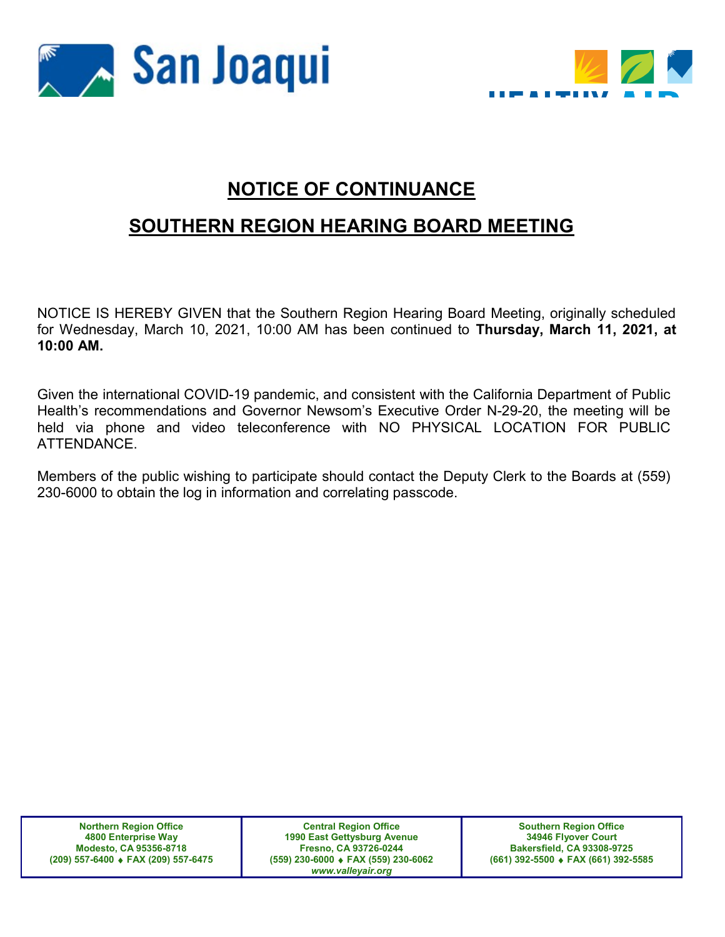



## NOTICE OF CONTINUANCE

## SOUTHERN REGION HEARING BOARD MEETING

NOTICE IS HEREBY GIVEN that the Southern Region Hearing Board Meeting, originally scheduled for Wednesday, March 10, 2021, 10:00 AM has been continued to Thursday, March 11, 2021, at 10:00 AM.

Given the international COVID-19 pandemic, and consistent with the California Department of Public Health's recommendations and Governor Newsom's Executive Order N-29-20, the meeting will be held via phone and video teleconference with NO PHYSICAL LOCATION FOR PUBLIC ATTENDANCE.

Members of the public wishing to participate should contact the Deputy Clerk to the Boards at (559) 230-6000 to obtain the log in information and correlating passcode.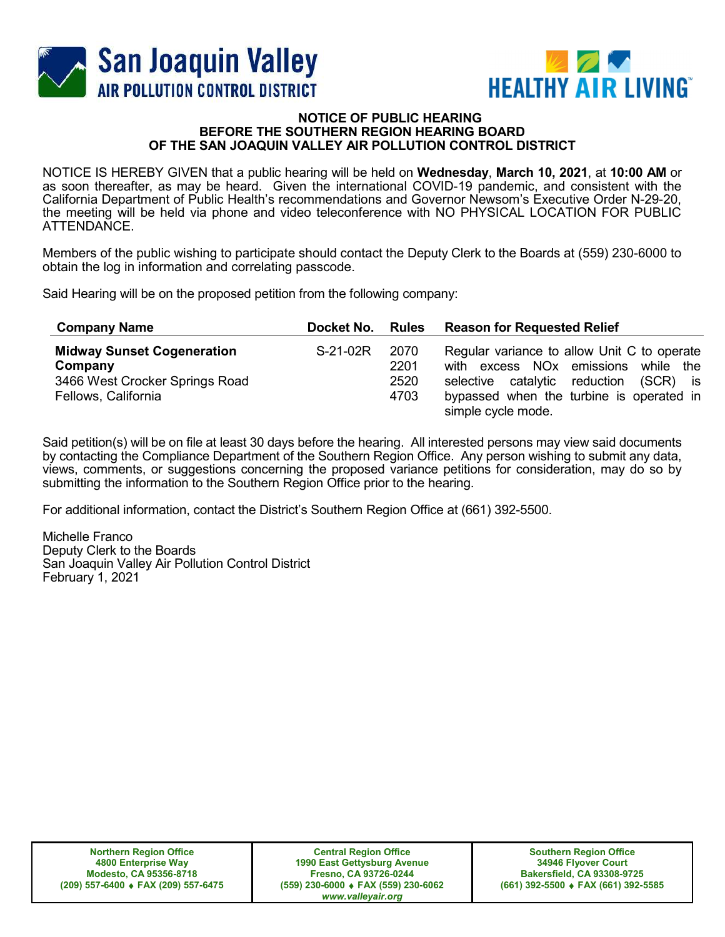



## **NOTICE OF PUBLIC HEARING** BEFORE THE SOUTHERN REGION HEARING BOARD OF THE SAN JOAQUIN VALLEY AIR POLLUTION CONTROL DISTRICT

NOTICE IS HEREBY GIVEN that a public hearing will be held on Wednesday, March 10, 2021, at 10:00 AM or as soon thereafter, as may be heard. Given the international COVID-19 pandemic, and consistent with the California Department of Public Health's recommendations and Governor Newsom's Executive Order N-29-20, the meeting will be held via phone and video teleconference with NO PHYSICAL LOCATION FOR PUBLIC ATTENDANCE.

Members of the public wishing to participate should contact the Deputy Clerk to the Boards at (559) 230-6000 to obtain the log in information and correlating passcode.

Said Hearing will be on the proposed petition from the following company:

| <b>Company Name</b>                                                                                   | Docket No. | <b>Rules</b>                 | <b>Reason for Requested Relief</b>                                                                                                                                                                         |
|-------------------------------------------------------------------------------------------------------|------------|------------------------------|------------------------------------------------------------------------------------------------------------------------------------------------------------------------------------------------------------|
| <b>Midway Sunset Cogeneration</b><br>Company<br>3466 West Crocker Springs Road<br>Fellows, California | S-21-02R   | 2070<br>2201<br>2520<br>4703 | Regular variance to allow Unit C to operate<br>with excess NO <sub>x</sub> emissions while the<br>selective catalytic reduction (SCR) is<br>bypassed when the turbine is operated in<br>simple cycle mode. |

Said petition(s) will be on file at least 30 days before the hearing. All interested persons may view said documents by contacting the Compliance Department of the Southern Region Office. Any person wishing to submit any data, views, comments, or suggestions concerning the proposed variance petitions for consideration, may do so by submitting the information to the Southern Region Office prior to the hearing.

For additional information, contact the District's Southern Region Office at (661) 392-5500.

Michelle Franco Deputy Clerk to the Boards San Joaquin Valley Air Pollution Control District February 1, 2021

Central Region Office 1990 East Gettysburg Avenue Fresno, CA 93726-0244 (559) 230-6000 FAX (559) 230-6062 www.valleyair.org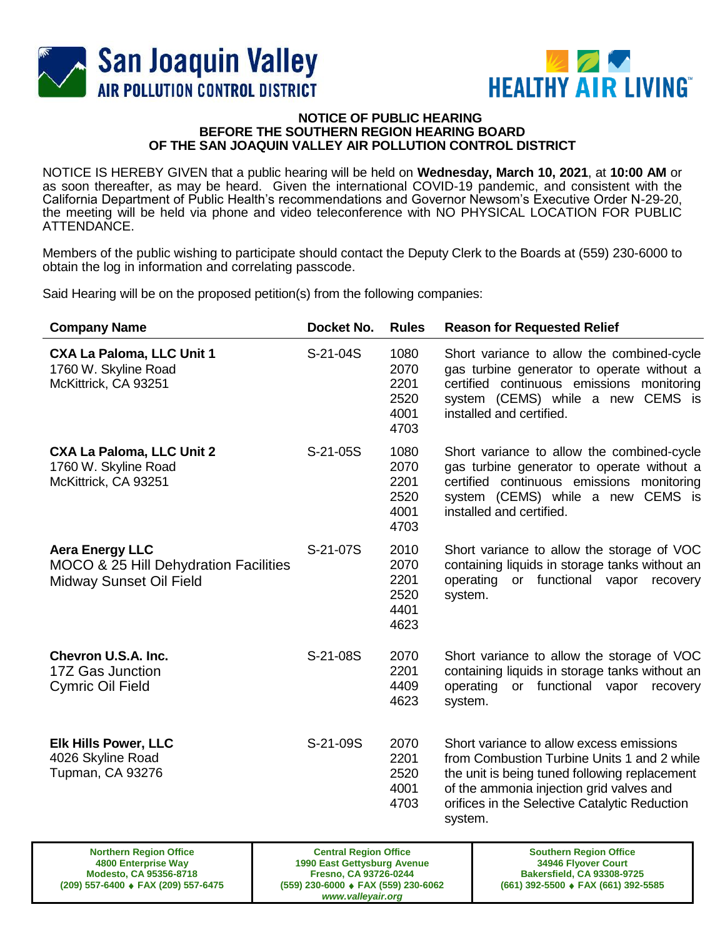



## **NOTICE OF PUBLIC HEARING BEFORE THE SOUTHERN REGION HEARING BOARD OF THE SAN JOAQUIN VALLEY AIR POLLUTION CONTROL DISTRICT**

NOTICE IS HEREBY GIVEN that a public hearing will be held on **Wednesday, March 10, 2021**, at **10:00 AM** or as soon thereafter, as may be heard. Given the international COVID-19 pandemic, and consistent with the California Department of Public Health's recommendations and Governor Newsom's Executive Order N-29-20, the meeting will be held via phone and video teleconference with NO PHYSICAL LOCATION FOR PUBLIC ATTENDANCE.

Members of the public wishing to participate should contact the Deputy Clerk to the Boards at (559) 230-6000 to obtain the log in information and correlating passcode.

Said Hearing will be on the proposed petition(s) from the following companies:

| <b>Company Name</b>                                                                        | Docket No. | <b>Rules</b>                                 | <b>Reason for Requested Relief</b>                                                                                                                                                                                                               |
|--------------------------------------------------------------------------------------------|------------|----------------------------------------------|--------------------------------------------------------------------------------------------------------------------------------------------------------------------------------------------------------------------------------------------------|
| <b>CXA La Paloma, LLC Unit 1</b><br>1760 W. Skyline Road<br>McKittrick, CA 93251           | S-21-04S   | 1080<br>2070<br>2201<br>2520<br>4001<br>4703 | Short variance to allow the combined-cycle<br>gas turbine generator to operate without a<br>certified continuous emissions monitoring<br>system (CEMS) while a new CEMS is<br>installed and certified.                                           |
| <b>CXA La Paloma, LLC Unit 2</b><br>1760 W. Skyline Road<br>McKittrick, CA 93251           | S-21-05S   | 1080<br>2070<br>2201<br>2520<br>4001<br>4703 | Short variance to allow the combined-cycle<br>gas turbine generator to operate without a<br>certified continuous emissions monitoring<br>system (CEMS) while a new CEMS is<br>installed and certified.                                           |
| <b>Aera Energy LLC</b><br>MOCO & 25 Hill Dehydration Facilities<br>Midway Sunset Oil Field | S-21-07S   | 2010<br>2070<br>2201<br>2520<br>4401<br>4623 | Short variance to allow the storage of VOC<br>containing liquids in storage tanks without an<br>operating<br>or functional vapor<br>recovery<br>system.                                                                                          |
| Chevron U.S.A. Inc.<br>17Z Gas Junction<br><b>Cymric Oil Field</b>                         | S-21-08S   | 2070<br>2201<br>4409<br>4623                 | Short variance to allow the storage of VOC<br>containing liquids in storage tanks without an<br>operating<br>or functional vapor<br>recovery<br>system.                                                                                          |
| <b>Elk Hills Power, LLC</b><br>4026 Skyline Road<br><b>Tupman, CA 93276</b>                | S-21-09S   | 2070<br>2201<br>2520<br>4001<br>4703         | Short variance to allow excess emissions<br>from Combustion Turbine Units 1 and 2 while<br>the unit is being tuned following replacement<br>of the ammonia injection grid valves and<br>orifices in the Selective Catalytic Reduction<br>system. |

| <b>Northern Region Office</b>       | <b>Central Region Office</b>                                       | <b>Southern Region Office</b>                       |
|-------------------------------------|--------------------------------------------------------------------|-----------------------------------------------------|
| 4800 Enterprise Way                 | 1990 East Gettysburg Avenue                                        | 34946 Flyover Court                                 |
| Modesto, CA 95356-8718              | <b>Fresno, CA 93726-0244</b>                                       | <b>Bakersfield, CA 93308-9725</b>                   |
| (209) 557-6400 ♦ FAX (209) 557-6475 | $(559)$ 230-6000 $\bullet$ FAX (559) 230-6062<br>www.valleyair.org | $(661)$ 392-5500 $\triangleleft$ FAX (661) 392-5585 |